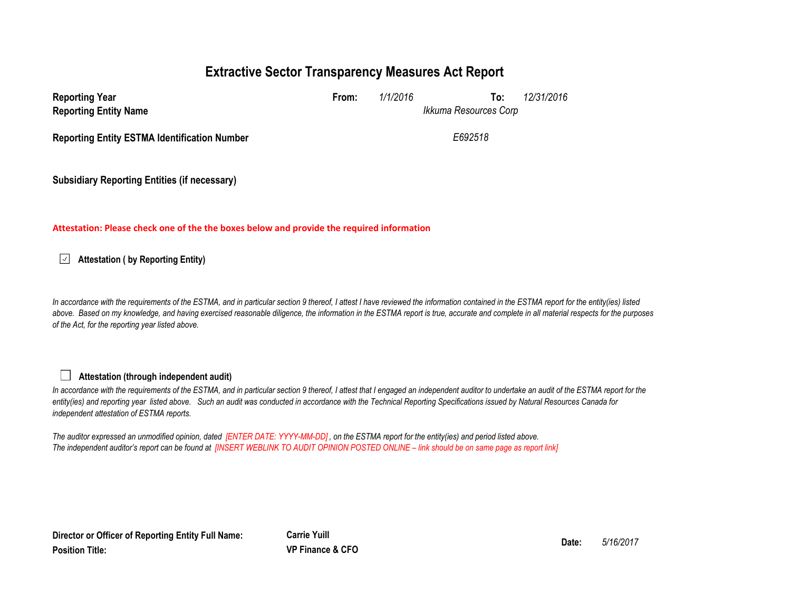# **Extractive Sector Transparency Measures Act Report**

| <b>Reporting Year</b><br><b>Reporting Entity Name</b> | From: | 1/1/2016 | To:<br>Ikkuma Resources Corp | 12/31/2016 |
|-------------------------------------------------------|-------|----------|------------------------------|------------|
| <b>Reporting Entity ESTMA Identification Number</b>   |       |          | E692518                      |            |
|                                                       |       |          |                              |            |

**Subsidiary Reporting Entities (if necessary)**

### **Attestation: Please check one of the the boxes below and provide the required information**

**Attestation ( by Reporting Entity)**

*In accordance with the requirements of the ESTMA, and in particular section 9 thereof, I attest I have reviewed the information contained in the ESTMA report for the entity(ies) listed*  above. Based on my knowledge, and having exercised reasonable diligence, the information in the ESTMA report is true, accurate and complete in all material respects for the purposes *of the Act, for the reporting year listed above.* 

### **Attestation (through independent audit)**

In accordance with the requirements of the ESTMA, and in particular section 9 thereof, I attest that I engaged an independent auditor to undertake an audit of the ESTMA report for the *entity(ies) and reporting year listed above. Such an audit was conducted in accordance with the Technical Reporting Specifications issued by Natural Resources Canada for independent attestation of ESTMA reports.* 

*The auditor expressed an unmodified opinion, dated [ENTER DATE: YYYY-MM-DD] , on the ESTMA report for the entity(ies) and period listed above. The independent auditor's report can be found at [INSERT WEBLINK TO AUDIT OPINION POSTED ONLINE – link should be on same page as report link]* 

**Director or Officer of Reporting Entity Full Name: Position Title:**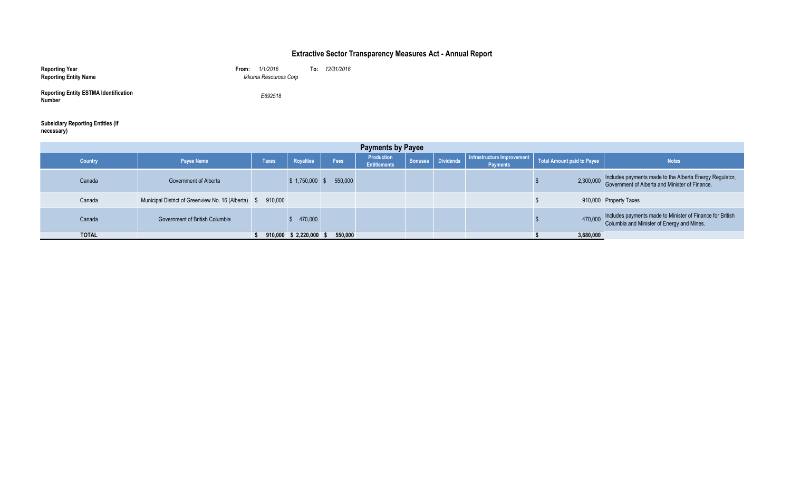### **Extractive Sector Transparency Measures Act - Annual Report**

| <b>Reporting Year</b><br><b>Reporting Entity Name</b>  | 1/1/2016<br>From:<br>Ikkuma Resources Corp | To: | 12/31/2016 |
|--------------------------------------------------------|--------------------------------------------|-----|------------|
| <b>Reporting Entity ESTMA Identification</b><br>Number | E692518                                    |     |            |

#### **Subsidiary Reporting Entities (if necessary**)<br>necessary)

| <b>Payments by Payee</b> |                                                  |              |                      |         |                                   |  |                          |                                               |                            |                                                                                                                     |
|--------------------------|--------------------------------------------------|--------------|----------------------|---------|-----------------------------------|--|--------------------------|-----------------------------------------------|----------------------------|---------------------------------------------------------------------------------------------------------------------|
| <b>Country</b>           | <b>Payee Name</b>                                | <b>Taxes</b> | Royalties            | Fees    | Production<br><b>Entitlements</b> |  | <b>Bonuses</b> Dividends | Infrastructure Improvement<br><b>Payments</b> | Total Amount paid to Payee | <b>Notes</b>                                                                                                        |
| Canada                   | Government of Alberta                            |              | \$1,750,000          | 550,000 |                                   |  |                          |                                               |                            | 2,300,000 Includes payments made to the Alberta Energy Regulator,<br>Government of Alberta and Minister of Finance. |
| Canada                   | Municipal District of Greenview No. 16 (Alberta) | 910,000      |                      |         |                                   |  |                          |                                               |                            | 910,000 Property Taxes                                                                                              |
| Canada                   | Government of British Columbia                   |              | 470,000              |         |                                   |  |                          |                                               |                            | 470,000 Includes payments made to Minister of Finance for British<br>Columbia and Minister of Energy and Mines.     |
| <b>TOTAL</b>             |                                                  |              | 910,000 \$ 2,220,000 | 550,000 |                                   |  |                          |                                               | 3,680,000                  |                                                                                                                     |